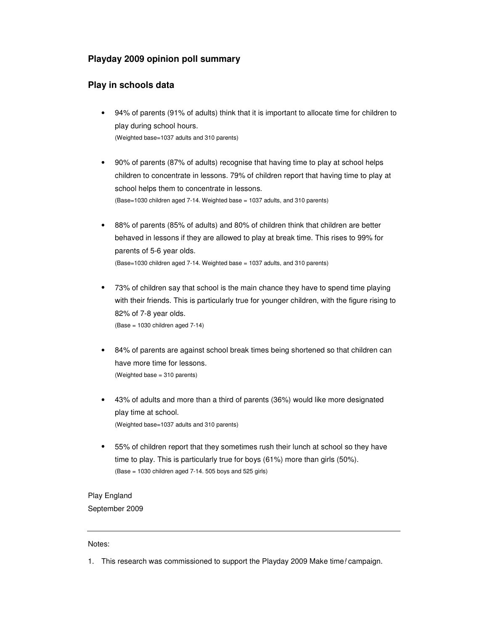## **Playday 2009 opinion poll summary**

## **Play in schools data**

- 94% of parents (91% of adults) think that it is important to allocate time for children to play during school hours. (Weighted base=1037 adults and 310 parents)
- 90% of parents (87% of adults) recognise that having time to play at school helps children to concentrate in lessons. 79% of children report that having time to play at school helps them to concentrate in lessons. (Base=1030 children aged 7-14. Weighted base = 1037 adults, and 310 parents)
- 88% of parents (85% of adults) and 80% of children think that children are better behaved in lessons if they are allowed to play at break time. This rises to 99% for parents of 5-6 year olds. (Base=1030 children aged 7-14. Weighted base = 1037 adults, and 310 parents)
- 73% of children say that school is the main chance they have to spend time playing with their friends. This is particularly true for younger children, with the figure rising to 82% of 7-8 year olds. (Base = 1030 children aged 7-14)
- 84% of parents are against school break times being shortened so that children can have more time for lessons. (Weighted base = 310 parents)
- 43% of adults and more than a third of parents (36%) would like more designated play time at school. (Weighted base=1037 adults and 310 parents)
- 55% of children report that they sometimes rush their lunch at school so they have time to play. This is particularly true for boys (61%) more than girls (50%). (Base = 1030 children aged 7-14. 505 boys and 525 girls)

## Play England September 2009

## Notes:

1. This research was commissioned to support the Playday 2009 Make time! campaign.